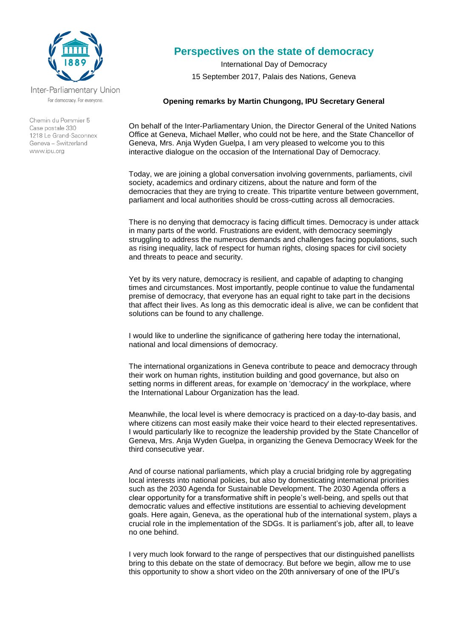

Inter-Parliamentary Union For democracy. For everyone.

Chemin du Pommier 5 Case postale 330 1218 Le Grand-Saconnex Geneva - Switzerland www.ipu.org

## **Perspectives on the state of democracy**

International Day of Democracy 15 September 2017, Palais des Nations, Geneva

## **Opening remarks by Martin Chungong, IPU Secretary General**

On behalf of the Inter-Parliamentary Union, the Director General of the United Nations Office at Geneva, Michael Møller, who could not be here, and the State Chancellor of Geneva, Mrs. Anja Wyden Guelpa, I am very pleased to welcome you to this interactive dialogue on the occasion of the International Day of Democracy.

Today, we are joining a global conversation involving governments, parliaments, civil society, academics and ordinary citizens, about the nature and form of the democracies that they are trying to create. This tripartite venture between government, parliament and local authorities should be cross-cutting across all democracies.

There is no denying that democracy is facing difficult times. Democracy is under attack in many parts of the world. Frustrations are evident, with democracy seemingly struggling to address the numerous demands and challenges facing populations, such as rising inequality, lack of respect for human rights, closing spaces for civil society and threats to peace and security.

Yet by its very nature, democracy is resilient, and capable of adapting to changing times and circumstances. Most importantly, people continue to value the fundamental premise of democracy, that everyone has an equal right to take part in the decisions that affect their lives. As long as this democratic ideal is alive, we can be confident that solutions can be found to any challenge.

I would like to underline the significance of gathering here today the international, national and local dimensions of democracy.

The international organizations in Geneva contribute to peace and democracy through their work on human rights, institution building and good governance, but also on setting norms in different areas, for example on 'democracy' in the workplace, where the International Labour Organization has the lead.

Meanwhile, the local level is where democracy is practiced on a day-to-day basis, and where citizens can most easily make their voice heard to their elected representatives. I would particularly like to recognize the leadership provided by the State Chancellor of Geneva, Mrs. Anja Wyden Guelpa, in organizing the Geneva Democracy Week for the third consecutive year.

And of course national parliaments, which play a crucial bridging role by aggregating local interests into national policies, but also by domesticating international priorities such as the 2030 Agenda for Sustainable Development. The 2030 Agenda offers a clear opportunity for a transformative shift in people's well-being, and spells out that democratic values and effective institutions are essential to achieving development goals. Here again, Geneva, as the operational hub of the international system, plays a crucial role in the implementation of the SDGs. It is parliament's job, after all, to leave no one behind.

I very much look forward to the range of perspectives that our distinguished panellists bring to this debate on the state of democracy. But before we begin, allow me to use this opportunity to show a short video on the 20th anniversary of one of the IPU's